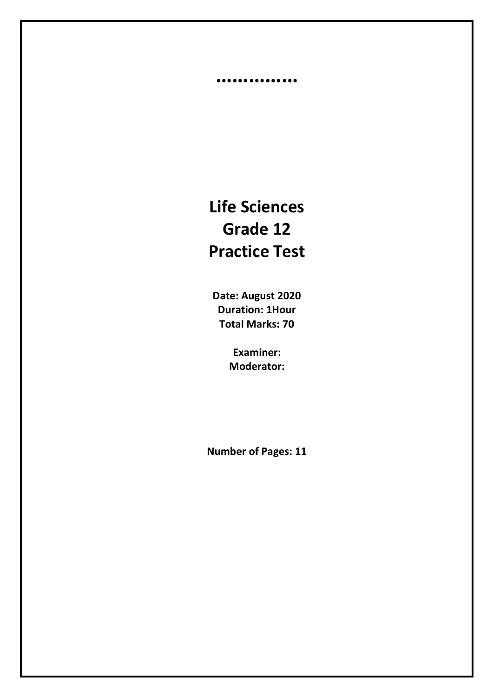# **Life Sciences Grade 12 Practice Test**

**……………**

**Date: August 2020 Duration: 1Hour Total Marks: 70**

> **Examiner: Moderator:**

**Number of Pages: 11**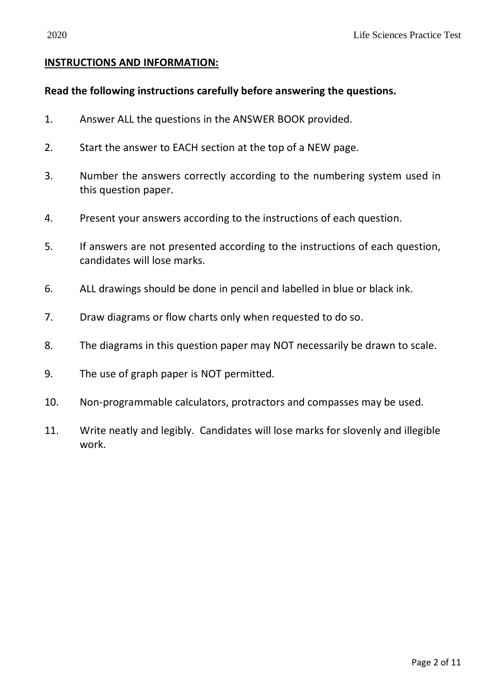#### **INSTRUCTIONS AND INFORMATION:**

#### **Read the following instructions carefully before answering the questions.**

- 1. Answer ALL the questions in the ANSWER BOOK provided.
- 2. Start the answer to EACH section at the top of a NEW page.
- 3. Number the answers correctly according to the numbering system used in this question paper.
- 4. Present your answers according to the instructions of each question.
- 5. If answers are not presented according to the instructions of each question, candidates will lose marks.
- 6. ALL drawings should be done in pencil and labelled in blue or black ink.
- 7. Draw diagrams or flow charts only when requested to do so.
- 8. The diagrams in this question paper may NOT necessarily be drawn to scale.
- 9. The use of graph paper is NOT permitted.
- 10. Non-programmable calculators, protractors and compasses may be used.
- 11. Write neatly and legibly. Candidates will lose marks for slovenly and illegible work.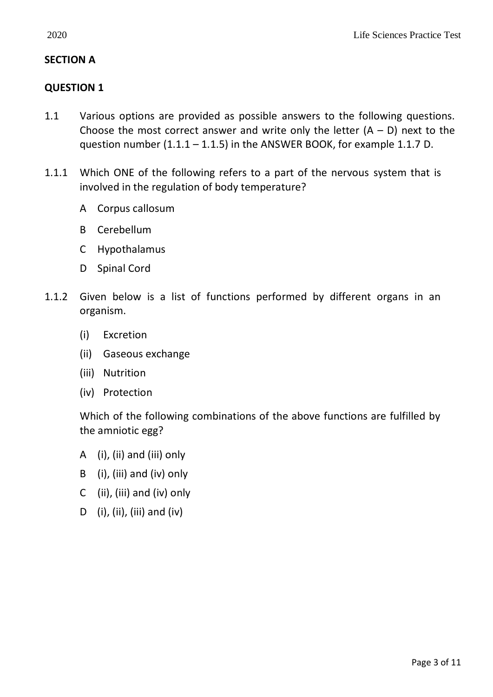## **SECTION A**

## **QUESTION 1**

- 1.1 Various options are provided as possible answers to the following questions. Choose the most correct answer and write only the letter  $(A - D)$  next to the question number  $(1.1.1 - 1.1.5)$  in the ANSWER BOOK, for example 1.1.7 D.
- 1.1.1 Which ONE of the following refers to a part of the nervous system that is involved in the regulation of body temperature?
	- A Corpus callosum
	- B Cerebellum
	- C Hypothalamus
	- D Spinal Cord
- 1.1.2 Given below is a list of functions performed by different organs in an organism.
	- (i) Excretion
	- (ii) Gaseous exchange
	- (iii) Nutrition
	- (iv) Protection

Which of the following combinations of the above functions are fulfilled by the amniotic egg?

- A (i), (ii) and (iii) only
- B (i), (iii) and (iv) only
- C (ii), (iii) and (iv) only
- D (i), (ii), (iii) and (iv)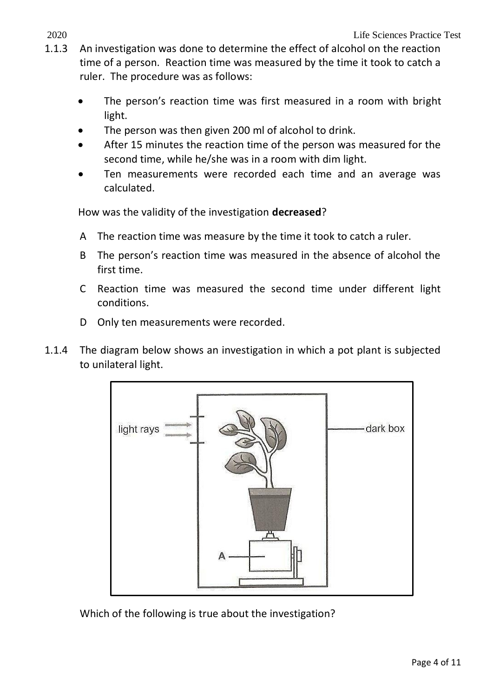- 1.1.3 An investigation was done to determine the effect of alcohol on the reaction time of a person. Reaction time was measured by the time it took to catch a ruler. The procedure was as follows:
	- The person's reaction time was first measured in a room with bright light.
	- The person was then given 200 ml of alcohol to drink.
	- After 15 minutes the reaction time of the person was measured for the second time, while he/she was in a room with dim light.
	- Ten measurements were recorded each time and an average was calculated.

How was the validity of the investigation **decreased**?

- A The reaction time was measure by the time it took to catch a ruler.
- B The person's reaction time was measured in the absence of alcohol the first time.
- C Reaction time was measured the second time under different light conditions.
- D Only ten measurements were recorded.
- 1.1.4 The diagram below shows an investigation in which a pot plant is subjected to unilateral light.



Which of the following is true about the investigation?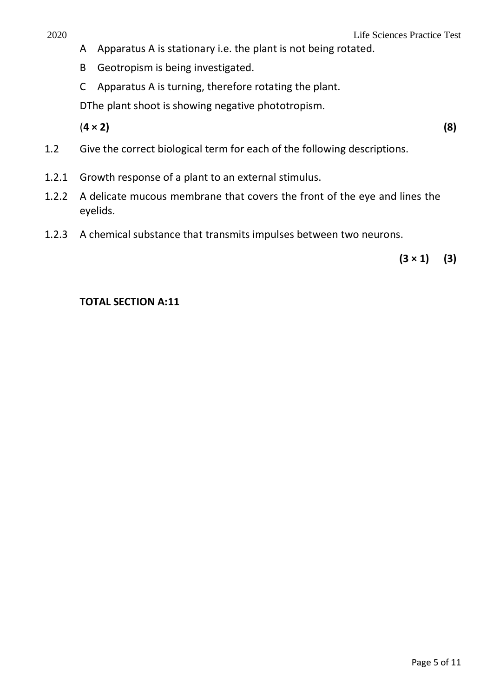- A Apparatus A is stationary i.e. the plant is not being rotated.
- B Geotropism is being investigated.
- C Apparatus A is turning, therefore rotating the plant.

DThe plant shoot is showing negative phototropism.

(**4 × 2) (8)**

- 1.2 Give the correct biological term for each of the following descriptions.
- 1.2.1 Growth response of a plant to an external stimulus.
- 1.2.2 A delicate mucous membrane that covers the front of the eye and lines the eyelids.
- 1.2.3 A chemical substance that transmits impulses between two neurons.

 $(3 \times 1)$  (3)

## **TOTAL SECTION A:11**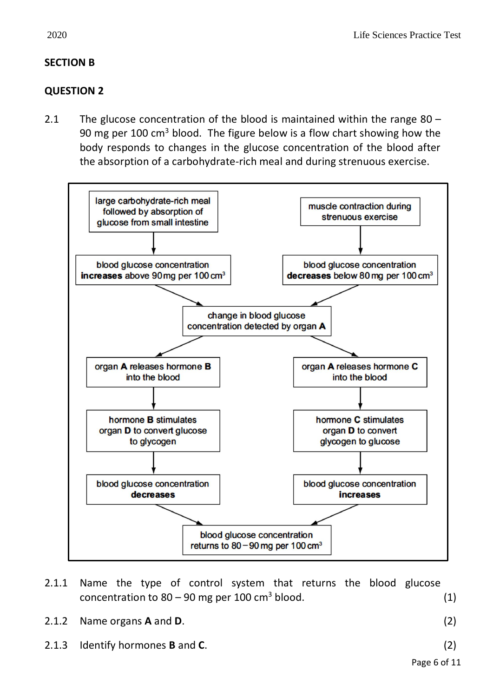## **SECTION B**

## **QUESTION 2**

2.1 The glucose concentration of the blood is maintained within the range 80 – 90 mg per 100 cm<sup>3</sup> blood. The figure below is a flow chart showing how the body responds to changes in the glucose concentration of the blood after the absorption of a carbohydrate-rich meal and during strenuous exercise.



- 2.1.1 Name the type of control system that returns the blood glucose concentration to  $80 - 90$  mg per 100 cm<sup>3</sup> blood.  $(1)$
- 2.1.2 Name organs **A** and **D**. (2)

2.1.3 Identify hormones **B** and **C**. (2)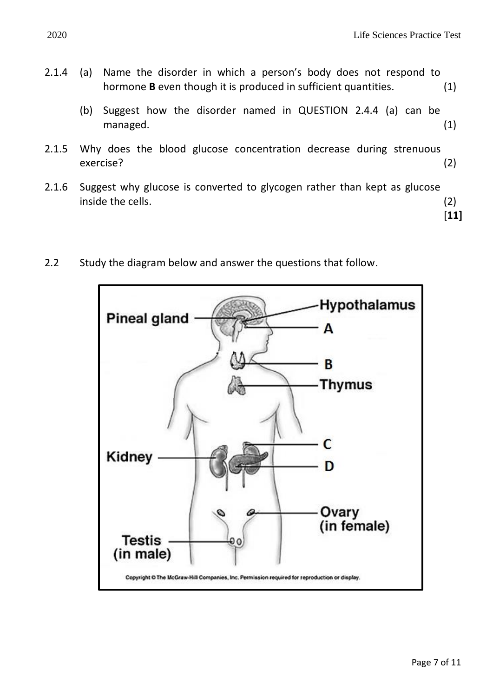- 2.1.4 (a) Name the disorder in which a person's body does not respond to hormone **B** even though it is produced in sufficient quantities. (1)
	- (b) Suggest how the disorder named in QUESTION 2.4.4 (a) can be managed. (1)
- 2.1.5 Why does the blood glucose concentration decrease during strenuous exercise? (2)
- 2.1.6 Suggest why glucose is converted to glycogen rather than kept as glucose inside the cells. (2)
	- [**11]**

2.2 Study the diagram below and answer the questions that follow.

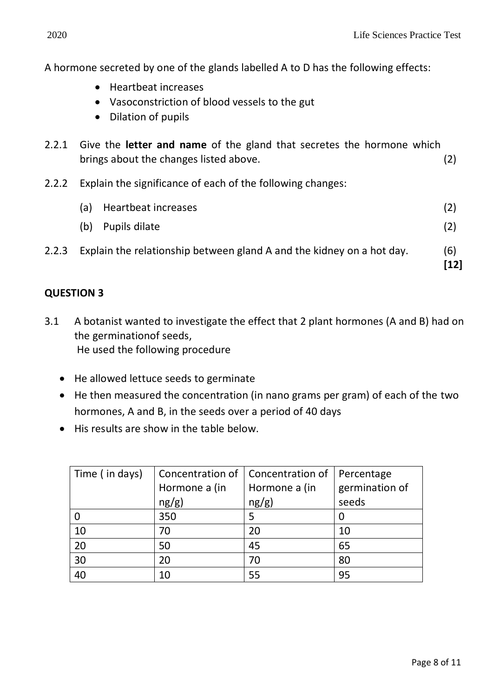**[12]**

A hormone secreted by one of the glands labelled A to D has the following effects:

- Heartbeat increases
- Vasoconstriction of blood vessels to the gut
- Dilation of pupils
- 2.2.1 Give the **letter and name** of the gland that secretes the hormone which brings about the changes listed above. (2)
- 2.2.2 Explain the significance of each of the following changes:

| (a) Heartbeat increases |     |
|-------------------------|-----|
| (b) Pupils dilate       | (2) |

2.2.3 Explain the relationship between gland A and the kidney on a hot day. (6)

## **QUESTION 3**

- 3.1 A botanist wanted to investigate the effect that 2 plant hormones (A and B) had on the germinationof seeds, He used the following procedure
	- He allowed lettuce seeds to germinate
	- He then measured the concentration (in nano grams per gram) of each of the two hormones, A and B, in the seeds over a period of 40 days
	- His results are show in the table below.

| Time (in days) |               | Concentration of   Concentration of | Percentage     |
|----------------|---------------|-------------------------------------|----------------|
|                | Hormone a (in | Hormone a (in                       | germination of |
|                | ng/g)         | ng/g)                               | seeds          |
|                | 350           |                                     |                |
| 10             | 70            | 20                                  | 10             |
| 20             | 50            | 45                                  | 65             |
| 30             | 20            | 70                                  | 80             |
| 40             | 10            | 55                                  | 95             |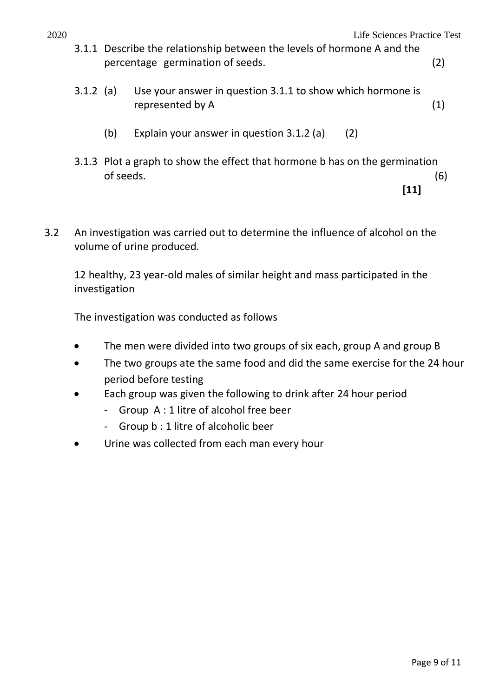- 3.1.1 Describe the relationship between the levels of hormone A and the percentage germination of seeds. (2)
- 3.1.2 (a) Use your answer in question 3.1.1 to show which hormone is represented by A (1)
	- (b) Explain your answer in question 3.1.2 (a) (2)
- 3.1.3 Plot a graph to show the effect that hormone b has on the germination  $\sigma$  seeds. (6) **[11]**
- 3.2 An investigation was carried out to determine the influence of alcohol on the volume of urine produced.

12 healthy, 23 year-old males of similar height and mass participated in the investigation

The investigation was conducted as follows

- The men were divided into two groups of six each, group A and group B
- The two groups ate the same food and did the same exercise for the 24 hour period before testing
- Each group was given the following to drink after 24 hour period
	- Group A : 1 litre of alcohol free beer
	- Group b : 1 litre of alcoholic beer
- Urine was collected from each man every hour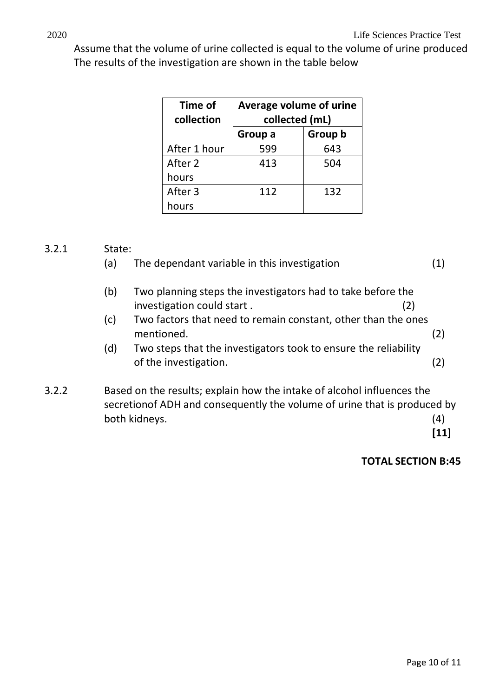Assume that the volume of urine collected is equal to the volume of urine produced The results of the investigation are shown in the table below

| Time of<br>collection | Average volume of urine<br>collected (mL) |         |  |
|-----------------------|-------------------------------------------|---------|--|
|                       | Group a                                   | Group b |  |
| After 1 hour          | 599                                       | 643     |  |
| After 2               | 413                                       | 504     |  |
| hours                 |                                           |         |  |
| After 3               | 112                                       | 132     |  |
| hours                 |                                           |         |  |

#### 3.2.1 State:

|       | (a) | The dependant variable in this investigation                              |     |
|-------|-----|---------------------------------------------------------------------------|-----|
|       | (b) | Two planning steps the investigators had to take before the               |     |
|       |     | investigation could start.<br>(2)                                         |     |
|       | (c) | Two factors that need to remain constant, other than the ones             |     |
|       |     | mentioned.                                                                | (2) |
|       | (d) | Two steps that the investigators took to ensure the reliability           |     |
|       |     | of the investigation.                                                     | (2) |
| 3.2.2 |     | Based on the results; explain how the intake of alcohol influences the    |     |
|       |     | secretion of ADH and consequently the volume of urine that is produced by |     |
|       |     | both kidneys.                                                             | 4   |

## **TOTAL SECTION B:45**

**[11]**